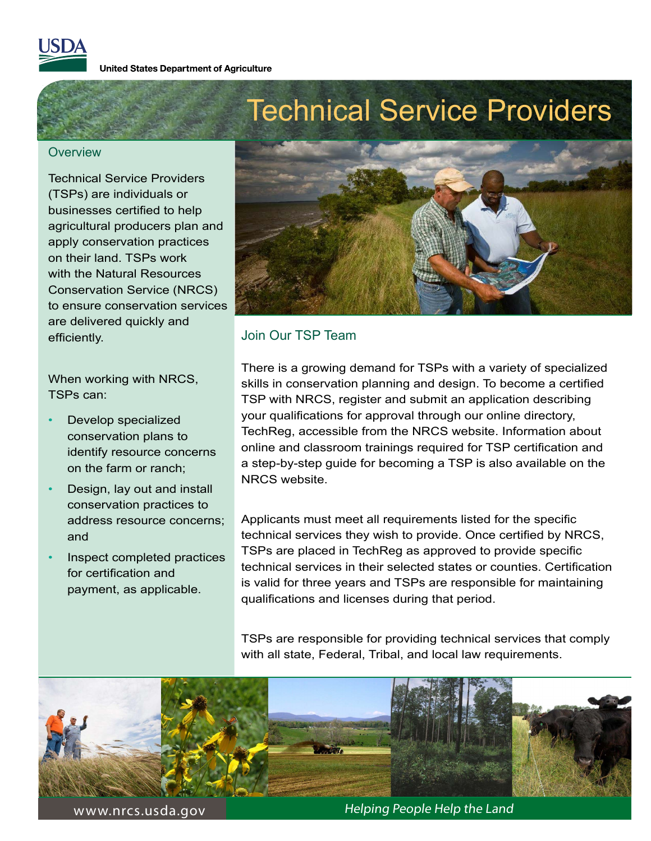

**United States Department of Agriculture** 

#### **Overview**

.

Technical Service Providers (TSPs) are individuals or businesses certified to help agricultural producers plan and apply conservation practices on their land. TSPs work with the Natural Resources Conservation Service (NRCS) to ensure conservation services are delivered quickly and efficiently.

When working with NRCS, TSPs can:

- Develop specialized conservation plans to identify resource concerns on the farm or ranch;
- Design, lay out and install conservation practices to address resource concerns; and
- Inspect completed practices for certification and payment, as applicable.



## Join Our TSP Team

There is a growing demand for TSPs with a variety of specialized skills in conservation planning and design. To become a certified TSP with NRCS, register and submit an application describing your qualifications for approval through our online directory, TechReg, accessible from the NRCS website. Information about online and classroom trainings required for TSP certification and a step-by-step guide for becoming a TSP is also available on the NRCS website.

Applicants must meet all requirements listed for the specific technical services they wish to provide. Once certified by NRCS, TSPs are placed in TechReg as approved to provide specific technical services in their selected states or counties. Certification is valid for three years and TSPs are responsible for maintaining qualifications and licenses during that period.

TSPs are responsible for providing technical services that comply with all state, Federal, Tribal, and local law requirements.



www.nrcs.usda.gov Andrew Helping People Help the Land